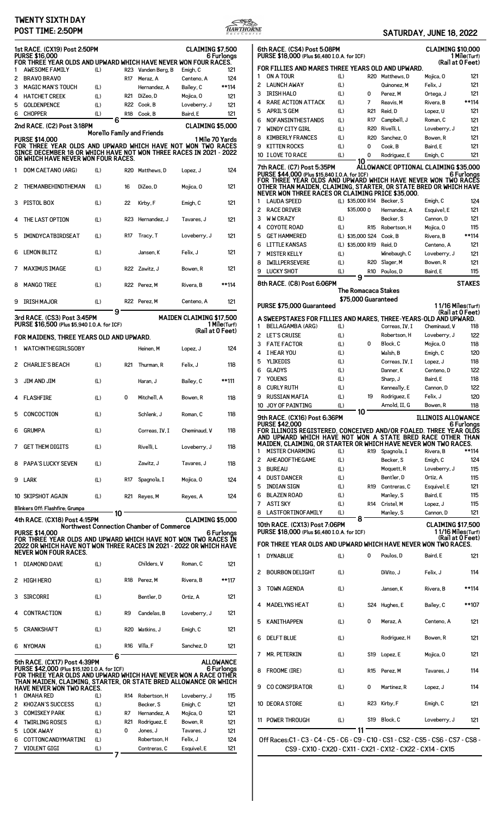# **TWENTY SIXTH DAY**



|  |  |  | SATURDAY, JUNE 18, 2022 |  |  |
|--|--|--|-------------------------|--|--|
|--|--|--|-------------------------|--|--|

|          | POST TIME: 2:50PM                                                                                                                                 |                            |     |                                          |                                 | HAWTHORNE                        |              |                                                                                                                                                         |                                      |                   | SATURDAY, JUNE 18, 2022                                     |                                               |                                 |
|----------|---------------------------------------------------------------------------------------------------------------------------------------------------|----------------------------|-----|------------------------------------------|---------------------------------|----------------------------------|--------------|---------------------------------------------------------------------------------------------------------------------------------------------------------|--------------------------------------|-------------------|-------------------------------------------------------------|-----------------------------------------------|---------------------------------|
|          | 1st RACE. (CX19) Post 2:50PM<br><b>PURSE \$16,000</b><br>FOR THREE YEAR OLDS AND UPWARD WHICH HAVE NEVER WON FOUR RACES.                          |                            |     |                                          | CLAIMING \$7,500                | 6 Furlongs                       |              | 6th RACE. (CS4) Post 5:08PM<br>PURSE \$18,000 (Plus \$6,480 I.O.A. for ICF)                                                                             |                                      |                   |                                                             | <b>CLAIMING \$10,00</b>                       | 1 Mile(Turt<br>(Rail at 0 Feet  |
|          | <b>AWESOME FAMILY</b>                                                                                                                             | (L)                        |     | R23 Vanden Berg, B                       | Emigh, C                        | 121                              |              | FOR FILLIES AND MARES THREE YEARS OLD AND UPWARD.                                                                                                       |                                      |                   |                                                             |                                               |                                 |
|          | 2 BRAVO BRAVO                                                                                                                                     |                            |     | R17 Meraz, A                             | Centeno, A                      | 124                              | 1            | ON A TOUR                                                                                                                                               | (L)                                  |                   | R20 Matthews, D                                             | Mojica, O                                     | $12^{\circ}$                    |
| 3        | <b>MAGIC MAN'S TOUCH</b>                                                                                                                          | (L)                        |     | Hernandez, A                             | Bailey, C                       | **114                            | 2            | <b>LAUNCH AWAY</b>                                                                                                                                      | (L)                                  |                   | Quinonez, M                                                 | Felix, J                                      | $12^{\circ}$                    |
| 4        | <b>HATCHET CREEK</b>                                                                                                                              | (L)                        |     | R21 DiZeo, D                             | Mojica, 0                       | 121                              | 3            | <b>IRISH HALO</b>                                                                                                                                       | (L)                                  | 0                 | Perez, M                                                    | Ortega, J                                     | $12^{\circ}$                    |
| 5        | <b>GOLDENPENCE</b>                                                                                                                                | (L)                        |     | R22 Cook, B                              | Loveberry, J                    | 121                              | 4            | <b>RARE ACTION ATTACK</b>                                                                                                                               | (L)                                  | 7                 | Reavis, M                                                   | Rivera, B                                     | **114                           |
|          | 6 CHOPPER                                                                                                                                         | (L)                        |     | R18 Cook, B                              | Baird, E                        | 121                              | 5            | <b>APRIL'S GEM</b>                                                                                                                                      | (L)                                  | R21               | Reid, D                                                     | Lopez, U                                      | $12^{\circ}$                    |
|          | 2nd RACE. (C2) Post 3:18PM                                                                                                                        | 6                          |     |                                          | CLAIMING \$5,000                |                                  | 6<br>7       | NOFANSINTHESTANDS<br><b>WINDY CITY GIRL</b>                                                                                                             | (L)<br>(L)                           | R17<br><b>R20</b> | Campbell, J<br>Rivelli, L                                   | Roman, C<br>Loveberry, J                      | $12^{\circ}$<br>$12^{\circ}$    |
|          |                                                                                                                                                   | Morello Family and Friends |     |                                          |                                 |                                  | 8            | <b>KIMBERLY FRANCES</b>                                                                                                                                 | (L)                                  | <b>R20</b>        | Sanchez, 0                                                  | Bowen, R                                      | $12^{\circ}$                    |
|          | <b>PURSE \$14,000</b><br>FOR THREE YEAR OLDS AND UPWARD WHICH HAVE NOT WON TWO RACES                                                              |                            |     |                                          |                                 | 1 Mile 70 Yards                  | 9            | <b>KITTEN ROCKS</b>                                                                                                                                     | (L)                                  | 0                 | Cook, B                                                     | Baird, E                                      | $12^{\circ}$                    |
|          | SINCE DECEMBER 18 OR WHICH HAVE NOT WON THREE RACES IN 2021 - 2022<br>OR WHICH HAVE NEVER WON FOUR RACES.                                         |                            |     |                                          |                                 |                                  |              | 10 I LOVE TO RACE                                                                                                                                       | (L)<br>10                            | 0                 | Rodriguez, E                                                | Emigh, C                                      | $12^{\circ}$                    |
|          | 1 DOM CAETANO (ARG)                                                                                                                               | (L)                        |     | R20 Matthews, D                          | Lopez, J                        | 124                              |              | 7th RACE. (C7) Post 5:35PM<br>PURSE \$44,000 (Plus \$15,840 I.O.A. for ICF)<br>FOR THREE YEAR OLDS AND UPWARD WHICH HAVE NEVER WON TWO RACE             |                                      |                   | ALLOWANCE OPTIONAL CLAIMING \$35,00                         |                                               | 6 Furlona                       |
|          | 2 THEMANBEHINDTHEMAN                                                                                                                              | (L)                        | 16  | DiZeo, D                                 | Mojica, O                       | 121                              |              | OTHER THAN MAIDEN, CLAIMING, STARTER, OR STATE BRED OR WHICH HAVI<br>NEVER WON THREE RACES OR CLAIMING PRICE \$35,000.                                  |                                      |                   |                                                             |                                               |                                 |
|          | 3 PISTOL BOX                                                                                                                                      | (L)                        | 22  | Kirby, F                                 | Emigh, C                        | 121                              | 1<br>2       | <b>LAUDA SPEED</b><br><b>RACE DRIVER</b>                                                                                                                | \$35,000 0                           |                   | (L) \$35,000 R14 Becker, S<br>Hernandez, A                  | Emigh, C<br>Esquivel, E                       | 12 <sub>0</sub><br>$12^{\circ}$ |
|          | 4 THE LAST OPTION                                                                                                                                 | (L)                        |     | R23 Hernandez, J                         | Tavares, J                      | 121                              | 3<br>4       | <b>WW CRAZY</b><br><b>COYOTE ROAD</b>                                                                                                                   | (L)<br>(L)                           |                   | Becker, S<br>R15 Robertson, H                               | Cannon, D<br>Mojica, O                        | $12^{\circ}$<br>115             |
|          | 5 IMINDYCATBIRDSEAT                                                                                                                               | (L)                        | R17 | Tracy, T                                 | Loveberry, J                    | 121                              | 5<br>6       | <b>GET HAMMERED</b><br><b>LITTLE KANSAS</b>                                                                                                             | (L) \$35,000 S24<br>(L) \$35,000 R19 |                   | Cook. B<br>Reid, D                                          | Rivera, B<br>Centeno, A                       | **114<br>$12^{\circ}$           |
|          | 6 LEMON BLITZ                                                                                                                                     | (L)                        |     | Jansen, K                                | Felix, J                        | 121                              | 7<br>8       | <b>MISTER KELLY</b><br><b>IWILLPERSEVERE</b>                                                                                                            | (L)<br>(L)                           |                   | Winebaugh, C<br>R20 Slager, M                               | Loveberry, J<br>Bowen, R                      | $12^{\circ}$<br>$12^{\circ}$    |
|          | 7 MAXIMUS IMAGE                                                                                                                                   | (L)                        |     | R22 Zawitz, J                            | Bowen, R                        | 121                              | 9            | <b>LUCKY SHOT</b>                                                                                                                                       | (L)<br>9                             |                   | R10 Poulos, D                                               | Baird, E                                      | 115                             |
|          | 8 MANGO TREE                                                                                                                                      | (L)                        |     | R22 Perez, M                             | Rivera, B                       | **114                            |              | 8th RACE. (C8) Post 6:06PM                                                                                                                              | <b>The Romacaca Stakes</b>           |                   |                                                             |                                               | <b>STAKE</b>                    |
|          | 9 IRISH MAJOR                                                                                                                                     | (L)                        |     | R22 Perez.M                              | Centeno, A                      | 121                              |              | PURSE \$75,000 Guaranteed                                                                                                                               | \$75,000 Guaranteed                  |                   |                                                             | 11/16 Miles(Turt                              |                                 |
|          | 3rd RACE. (CS3) Post 3:45PM<br>PURSE \$16,500 (Plus \$5,940 I.O.A. for ICF)                                                                       | 9                          |     |                                          | <b>MAIDEN CLAIMING \$17,500</b> | 1 Mile(Turf)<br>(Rail at 0 Feet) | 1            | A SWEEPSTAKES FOR FILLIES AND MARES, THREE-YEARS-OLD AND UPWARD.<br><b>BELLAGAMBA (ARG)</b>                                                             | (L)                                  |                   | Correas, IV, I                                              | Cheminaud, V                                  | (Rail at 0 Feet<br>118          |
|          | FOR MAIDENS, THREE YEARS OLD AND UPWARD.                                                                                                          |                            |     |                                          |                                 |                                  | 2            | <b>LET'S CRUISE</b>                                                                                                                                     | (L)                                  |                   | Robertson, H                                                | Loveberry, J                                  | 122                             |
|          | 1 WATCHNTHEGIRLSGOBY                                                                                                                              |                            |     | Heinen, M                                | Lopez, J                        | 124                              | 3            | <b>FATE FACTOR</b>                                                                                                                                      | (L)                                  | 0                 | Block, C                                                    | Mojica, O                                     | 118                             |
|          |                                                                                                                                                   |                            |     |                                          |                                 |                                  | 4            | I HEAR YOU                                                                                                                                              | (L)                                  |                   | Walsh, B                                                    | Emigh, C                                      | 12 <sub>0</sub>                 |
|          | 2 CHARLIE'S BEACH                                                                                                                                 | (L)                        |     | R21 Thurman, R                           | Felix, J                        | 118                              | 5<br>6       | YLIKEDIS<br><b>GLADYS</b>                                                                                                                               | (L)<br>(L)                           |                   | Correas, IV, I<br>Danner, K                                 | Lopez, J<br>Centeno, D                        | 118<br>122                      |
|          | 3 JIM AND JIM                                                                                                                                     | (L)                        |     | Haran. J                                 | Bailey, C                       | **111                            | 7<br>8       | <b>YOUENS</b><br><b>CURLY RUTH</b>                                                                                                                      | (L)<br>(L)                           |                   | Sharp, J<br>Kenneally, E                                    | Baird, E<br>Cannon, D                         | 118<br>122                      |
|          | 4 FLASHFIRE                                                                                                                                       | (L)                        | 0   | Mitchell, A                              | Bowen, R                        | 118                              | 9            | RUSSIAN MAFIA                                                                                                                                           | (L)                                  | 19                | Rodriguez, E                                                | Felix, J                                      | 12                              |
|          | 5 CONCOCTION                                                                                                                                      | (L)                        |     | Schlenk, J                               | Roman, C                        | 118                              |              | 10 JOY OF PAINTING<br>9th RACE. (CX16) Post 6:36PM                                                                                                      | (L)<br>10                            |                   | Arnold, II, G                                               | Bowen, R<br><b>ILLINOIS ALLOWANCI</b>         | 118                             |
| 6 GRUMPA |                                                                                                                                                   | (L)                        |     | Correas, IV, I                           | Cheminaud, V                    | 118                              |              | <b>PURSE \$42,000</b><br>FOR ILLINOIS REGISTERED, CONCEIVED AND/OR FOALED. THREE YEAR OLD<br>AND UPWARD WHICH HAVE NOT WON A STATE BRED RACE OTHER THAI |                                      |                   |                                                             |                                               | 6 Furlong                       |
|          | 7 GET THEM DIGITS                                                                                                                                 | (L)                        |     | Rivelli, L                               | Loveberry, J                    | 118                              | 1            | MAIDEN. CLAIMING. OR STARTER OR WHICH HAVE NEVER WON TWO RACES.<br><b>MISTER CHARMING</b>                                                               | (L)                                  |                   | R19 Spagnola, I                                             | Rivera, B                                     | **114                           |
|          | 8 PAPA'S LUCKY SEVEN                                                                                                                              | (L)                        |     | Zawitz, J                                | Tavares, J                      | 118                              | 2<br>3       | AHEADOFTHEGAME<br><b>BUREAU</b>                                                                                                                         | (L)                                  |                   | Becker, S                                                   | Emigh, C                                      | 12 <sub>0</sub><br>115          |
| 9 LARK   |                                                                                                                                                   | (L)                        | R17 | Spagnola, I                              | Mojica, O                       | 124                              | 4            | <b>DUST DANCER</b>                                                                                                                                      | (L)<br>(L)                           |                   | Moquett, R<br>Bentler, D                                    | Loveberry, J<br>Ortiz, A                      | 115                             |
|          |                                                                                                                                                   |                            |     |                                          |                                 |                                  | 5            | INDIAN SIGN                                                                                                                                             | (L)                                  |                   | R19 Contreras, C                                            | Esquivel, E                                   | $12^{\circ}$                    |
|          | 10 SKIPSHOT AGAIN                                                                                                                                 | (L)                        |     | R21 Reyes, M                             | Reyes, A                        | 124                              | 6            | <b>BLAZEN ROAD</b>                                                                                                                                      | (L)                                  |                   | Manley, S                                                   | Baird, E                                      | 115                             |
|          | Blinkers Off: Flashfire; Grumpa                                                                                                                   |                            |     |                                          |                                 |                                  | 7<br>8       | <b>ASTI SKY</b><br>LASTFORTINOFAMILY                                                                                                                    | (L)<br>(L)                           |                   | R14 Cristel, M                                              | Lopez, J                                      | 115<br>$12^{\circ}$             |
|          | 4th RACE. (CX18) Post 4:15PM                                                                                                                      | 10                         |     |                                          | <b>CLAIMING \$5,000</b>         |                                  |              |                                                                                                                                                         | 8                                    |                   | Manley, S                                                   | Cannon, D                                     |                                 |
|          | <b>PURSE \$14,000</b>                                                                                                                             |                            |     | Northwest Connection Chamber of Commerce |                                 | 6 Furlongs                       |              | 10th RACE. (CX13) Post 7:06PM<br>PURSE \$18,000 (Plus \$6,480 I.O.A. for ICF)                                                                           |                                      |                   |                                                             | <b>CLAIMING \$17,500</b><br>11/16 Miles (Turt | (Rail at 0 Feet                 |
|          | FOR THREE YEAR OLDS AND UPWARD WHICH HAVE NOT WON TWO RACES IN<br>2022 OR WHICH HAVE NOT WON THREE RACES IN 2021 - 2022 OR WHICH HAVE             |                            |     |                                          |                                 |                                  |              | FOR THREE YEAR OLDS AND UPWARD WHICH HAVE NEVER WON TWO RACES.                                                                                          |                                      |                   |                                                             |                                               |                                 |
|          | NEVER WON FOUR RACES.<br>1 DIAMOND DAVE                                                                                                           | (L)                        |     | Childers, V                              | Roman, C                        | 121                              | $\mathbf{1}$ | <b>DYNABLUE</b>                                                                                                                                         | (L)                                  | 0                 | Poulos, D                                                   | Baird, E                                      | $12^{\circ}$                    |
|          | 2 HIGH HERO                                                                                                                                       | (L)                        |     | R18 Perez, M                             | Rivera, B                       | **117                            | 2            | <b>BOURBON DELIGHT</b>                                                                                                                                  | (L)                                  |                   | DiVito, J                                                   | Felix, J                                      | 11 <sup>2</sup>                 |
|          | 3 SIRCORRI                                                                                                                                        | (L)                        |     | Bentler, D                               | Ortiz, A                        | 121                              |              | <b>TOWN AGENDA</b>                                                                                                                                      | (L)                                  |                   | Jansen, K                                                   | Rivera, B                                     | **114                           |
|          |                                                                                                                                                   |                            |     |                                          |                                 |                                  |              | <b>MADELYNS HEAT</b>                                                                                                                                    | (L)                                  |                   | S24 Hughes, E                                               | Bailey, C                                     | **10                            |
|          | 4 CONTRACTION                                                                                                                                     | (L)                        | R9  | Candelas, B                              | Loveberry, J                    | 121                              | 5            | KANITHAPPEN                                                                                                                                             | (L)                                  | 0                 | Meraz, A                                                    | Centeno, A                                    | $12^{\circ}$                    |
|          | 5 CRANKSHAFT                                                                                                                                      | (L)                        |     | R20 Watkins, J                           | Emigh, C                        | 121                              | 6            | <b>DELFT BLUE</b>                                                                                                                                       | (L)                                  |                   | Rodriguez, H                                                | Bowen, R                                      | $12^{\circ}$                    |
| 6 NYOMAN |                                                                                                                                                   | (L)<br>6                   |     | R16 Villa, F                             | Sanchez, D                      | 121                              | 7            | MR. PETERKIN                                                                                                                                            | (L)                                  | S19               | Lopez, E                                                    | Mojica, O                                     | $12^{\circ}$                    |
|          | 5th RACE. (CX17) Post 4:39PM<br>PURSE \$42,000 (Plus \$15,120 I.O.A. for ICF)<br>FOR THREE YEAR OLDS AND UPWARD WHICH HAVE NEVER WON A RACE OTHER |                            |     |                                          |                                 | <b>ALLOWANCE</b><br>6 Furlongs   | 8            | FROOME (IRE)                                                                                                                                            | (L)                                  |                   | R15 Perez, M                                                | Tavares, J                                    | 11 <sup>2</sup>                 |
|          | THAN MAIDEN, CLAIMING, STARTER, OR STATE BRED ALLOWANCE OR WHICH<br>HAVE NEVER WON TWO RACES.                                                     |                            |     |                                          |                                 |                                  |              | <b>CO CONSPIRATOR</b>                                                                                                                                   | (L)                                  | 0                 | Martinez, R                                                 | Lopez, J                                      | 11 <sup>2</sup>                 |
|          | <b>OMAHA RED</b>                                                                                                                                  | (L)                        |     | R14 Robertson, H                         | Loveberry, J                    | 115                              |              |                                                                                                                                                         |                                      |                   |                                                             |                                               |                                 |
| 3        | 2 KHOZAN'S SUCCESS<br><b>COMISKEY PARK</b>                                                                                                        | (L)<br>(L)                 | R7  | Becker, S<br>Hernandez, A                | Emigh, C<br>Mojica, 0           | 121<br>121                       |              | 10 DEORA STORE                                                                                                                                          | (L)                                  |                   | R23 Kirby, F                                                | Emigh, C                                      | $12^{\circ}$                    |
|          | <b>TWIRLING ROSES</b>                                                                                                                             | (L)                        | R21 | Rodriguez, E                             | Bowen, R                        | 121                              |              | 11 POWER THROUGH                                                                                                                                        | (L)                                  | S19               | Block, C                                                    | Loveberry, J                                  | $12^{\circ}$                    |
| 5        | <b>LOOK AWAY</b>                                                                                                                                  | (L)                        | 0   | Jones, J                                 | Tavares, J                      | 121                              |              |                                                                                                                                                         | 11                                   |                   |                                                             |                                               |                                 |
| 6        | COTTONCANDYMARTINI                                                                                                                                | (L)                        |     | Robertson, H                             | Felix, J                        | 124                              |              | 0ff Races: C1 - C3 - C4 - C5 - C6 - C9 - C10 - CS1 - CS2 - CS5 - CS6 - CS7 - CS8                                                                        |                                      |                   |                                                             |                                               |                                 |
|          | 7 VIOLENT GIGI                                                                                                                                    | (L)<br>$7 -$               |     | Contreras, C                             | Esquivel, E                     | 121                              |              |                                                                                                                                                         |                                      |                   | CS9 - CX10 - CX20 - CX11 - CX21 - CX12 - CX22 - CX14 - CX15 |                                               |                                 |
|          |                                                                                                                                                   |                            |     |                                          |                                 |                                  |              |                                                                                                                                                         |                                      |                   |                                                             |                                               |                                 |

|        | 6th RACE. (CS4) Post 5:08PM<br>PURSE \$18,000 (Plus \$6,480 I.O.A. for ICF)                                                     |            |                     |                        |                                      | <b>CLAIMING \$10,000</b>  | <b>1 Mile</b> (Turf)                   |
|--------|---------------------------------------------------------------------------------------------------------------------------------|------------|---------------------|------------------------|--------------------------------------|---------------------------|----------------------------------------|
|        |                                                                                                                                 |            |                     |                        |                                      |                           | (Rail at 0 Feet)                       |
| 1      | FOR FILLIES AND MARES THREE YEARS OLD AND UPWARD.<br>ON A TOUR                                                                  | (L)        |                     | <b>R20</b>             | Matthews, D                          | Mojica, 0                 | 121                                    |
| 2      | <b>LAUNCH AWAY</b>                                                                                                              | (L)        |                     |                        | Quinonez, M                          | Felix, J                  | 121                                    |
| 3      | <b>IRISH HALO</b>                                                                                                               | (L)        |                     | 0                      | Perez. M                             | Ortega, J                 | 121                                    |
| 4<br>5 | <b>RARE ACTION ATTACK</b>                                                                                                       | (L)        |                     | 7                      | Reavis, M                            | Rivera, B                 | **114                                  |
| 6      | <b>APRIL'S GEM</b><br><b>NOFANSINTHESTANDS</b>                                                                                  | (L)<br>(L) |                     | R <sub>21</sub><br>R17 | Reid, D<br>Campbell, J               | Lopez, U<br>Roman, C      | 121<br>121                             |
| 7      | <b>WINDY CITY GIRL</b>                                                                                                          | (L)        |                     | <b>R20</b>             | Rivelli, L                           | Loveberry, J              | 121                                    |
| 8      | <b>KIMBERLY FRANCES</b>                                                                                                         | (L)        |                     | <b>R20</b>             | Sanchez, 0                           | Bowen, R                  | 121                                    |
| 9      | <b>KITTEN ROCKS</b>                                                                                                             | (L)        |                     | 0                      | Cook, B                              | Baird, E                  | 121                                    |
|        | 10 I LOVE TO RACE                                                                                                               | (L)        | 10                  | 0                      | Rodriguez, E                         | Emigh, C                  | 121                                    |
|        | 7th RACE. (C7) Post 5:35PM<br>PURSE \$44,000 (Plus \$15,840 I.O.A. for ICF)                                                     |            |                     |                        | ALLOWANCE OPTIONAL CLAIMING \$35,000 |                           | 6 Furlongs                             |
|        | FOR THREE YEAR OLDS AND UPWARD WHICH HAVE NEVER WON TWO RACES                                                                   |            |                     |                        |                                      |                           |                                        |
|        | OTHER THAN MAIDEN, CLAIMING, STARTER, OR STATE BRED OR WHICH HAVE<br>NEVER WON THREE RACES OR CLAIMING PRICE \$35,000.          |            |                     |                        |                                      |                           |                                        |
| 1      | <b>LAUDA SPEED</b>                                                                                                              |            | (L) \$35,000 R14    |                        | Becker, S                            | Emigh, C                  | 124                                    |
| 2      | <b>RACE DRIVER</b>                                                                                                              |            | \$35,000 0          |                        | Hernandez, A                         | Esquivel, E               | 121                                    |
| 3<br>4 | <b>WW CRAZY</b><br><b>COYOTE ROAD</b>                                                                                           | (L)<br>(L) |                     | R15                    | Becker, S<br>Robertson, H            | Cannon, D<br>Mojica, 0    | 121<br>115                             |
| 5      | <b>GET HAMMERED</b>                                                                                                             |            | (L) \$35,000 S24    |                        | Cook, B                              | Rivera, B                 | **114                                  |
| 6      | <b>LITTLE KANSAS</b>                                                                                                            |            | (L) \$35,000 R19    |                        | Reid.D                               | Centeno, A                | 121                                    |
| 7      | <b>MISTER KELLY</b>                                                                                                             | (L)        |                     |                        | Winebaugh, C                         | Loveberry, J              | 121                                    |
| 8      | <b>IWILLPERSEVERE</b>                                                                                                           | (L)        |                     | <b>R20</b>             | Slager, M                            | Bowen, R                  | 121                                    |
| 9      | <b>LUCKY SHOT</b>                                                                                                               | (L)        | 9                   | R <sub>10</sub>        | Poulos, D                            | Baird, E                  | 115                                    |
|        | 8th RACE. (C8) Post 6:06PM                                                                                                      |            |                     |                        | The Romacaca Stakes                  |                           | <b>STAKES</b>                          |
|        |                                                                                                                                 |            | \$75,000 Guaranteed |                        |                                      |                           |                                        |
|        | PURSE \$75.000 Guaranteed                                                                                                       |            |                     |                        |                                      |                           | 1 1/16 Miles(Turf)<br>(Rail at 0 Feet) |
|        | A SWEEPSTAKES FOR FILLIES AND MARES, THREE-YEARS-OLD AND UPWARD.                                                                |            |                     |                        |                                      |                           |                                        |
| 1      | <b>BELLAGAMBA (ARG)</b>                                                                                                         | (L)        |                     |                        | Correas, IV, I<br>Robertson, H       | Cheminaud, V              | 118                                    |
| 2<br>3 | <b>LET'S CRUISE</b><br><b>FATE FACTOR</b>                                                                                       | (L)<br>(L) |                     | 0                      | Block, C                             | Loveberry, J<br>Mojica, 0 | 122<br>118                             |
| 4      | I HEAR YOU                                                                                                                      | (L)        |                     |                        | Walsh, B                             | Emigh, C                  | 120                                    |
| 5      | <b>YLIKEDIS</b>                                                                                                                 | (L)        |                     |                        | Correas, IV, I                       | Lopez, J                  | 118                                    |
| 6      | <b>GLADYS</b>                                                                                                                   | (L)        |                     |                        | Danner, K                            | Centeno, D                | 122                                    |
| 7<br>8 | <b>YOUENS</b><br><b>CURLY RUTH</b>                                                                                              | (L)<br>(L) |                     |                        | Sharp, J                             | Baird, E<br>Cannon. D     | 118<br>122                             |
| 9      | <b>RUSSIAN MAFIA</b>                                                                                                            | (L)        |                     | 19                     | Kenneally, E<br>Rodriguez, E         | Felix, J                  | 120                                    |
| 10     | JOY OF PAINTING                                                                                                                 | (L)        |                     |                        | Arnold, II, G                        | Bowen, R                  | 118                                    |
|        | 9th RACE. (CX16) Post 6:36PM                                                                                                    |            | 10                  |                        |                                      | <b>ILLINOIS ALLOWANCE</b> |                                        |
|        | <b>PURSE \$42.000</b>                                                                                                           |            |                     |                        |                                      |                           | 6 Furlonas                             |
|        | FOR ILLINOIS REGISTERED, CONCEIVED AND/OR FOALED. THREE YEAR OLDS<br>AND UPWARD WHICH HAVE NOT WON A STATE BRED RACE OTHER THAN |            |                     |                        |                                      |                           |                                        |
|        | MAIDEN, CLAIMING, OR STARTER OR WHICH HAVE NEVER WON TWO RACES.                                                                 | (L)        |                     | R19                    |                                      |                           | **114                                  |
|        |                                                                                                                                 |            |                     |                        |                                      |                           |                                        |
| 1      | <b>MISTER CHARMING</b>                                                                                                          |            |                     |                        | Spagnola, I<br>Becker, S             | Rivera, B<br>Emigh, C     | 124                                    |
| 2<br>3 | <b>AHEADOFTHEGAME</b><br><b>BUREAU</b>                                                                                          | (L)<br>(L) |                     |                        | Moquett, R                           | Loveberry, J              | 115                                    |
| 4      | <b>DUST DANCER</b>                                                                                                              | (L)        |                     |                        | Bentler, D                           | Ortiz, A                  | 115                                    |
| 5      | <b>INDIAN SIGN</b>                                                                                                              | (L)        |                     | R19                    | Contreras, C                         | Esquivel, E               | 121                                    |
| 6      | <b>BLAZEN ROAD</b>                                                                                                              | (L)        |                     |                        | Manley, S                            | Baird, E                  | 115                                    |
| 7<br>8 | <b>ASTI SKY</b><br>LASTFORTINOFAMILY                                                                                            | (L)<br>(L) |                     | R14                    | Cristel, M                           | Lopez, J<br>Cannon, D     | 115<br>121                             |
|        |                                                                                                                                 |            | 8                   |                        | Manley, S                            |                           |                                        |
|        | 10th RACE. (CX13) Post 7:06PM<br>PURSE \$18,000 (Plus \$6,480 I.O.A. for ICF)                                                   |            |                     |                        |                                      | <b>CLAIMING \$17,500</b>  | 1 1/16 Miles(Turf)                     |
|        | FOR THREE YEAR OLDS AND UPWARD WHICH HAVE NEVER WON TWO RACES.                                                                  |            |                     |                        |                                      |                           | (Rail at 0 Feet)                       |
|        | <b>DYNABLUE</b>                                                                                                                 | (L)        |                     | 0                      | Poulos, D                            | Baird, E                  | 121                                    |
|        |                                                                                                                                 |            |                     |                        |                                      |                           |                                        |
| 1<br>2 | <b>BOURBON DELIGHT</b>                                                                                                          | (L)        |                     |                        | DiVito, J                            | Felix, J                  | 114                                    |
|        |                                                                                                                                 |            |                     |                        |                                      |                           |                                        |
| 3      | TOWN AGENDA                                                                                                                     | (L)        |                     |                        | Jansen, K                            | Rivera, B                 | **114                                  |
| 4      | <b>MADELYNS HEAT</b>                                                                                                            | (L)        |                     | S24                    | Hughes, E                            | Bailey, C                 | **107                                  |
| 5      | <b>KANITHAPPEN</b>                                                                                                              | (L)        |                     | 0                      | Meraz, A                             | Centeno, A                | 121                                    |
| 6      | <b>DELFT BLUE</b>                                                                                                               | (L)        |                     |                        | Rodriguez, H                         | Bowen, R                  | 121                                    |
|        |                                                                                                                                 |            |                     |                        |                                      |                           |                                        |
| 7      | <b>MR. PETERKIN</b>                                                                                                             | (L)        |                     | <b>S19</b>             | Lopez, E                             | Mojica, O                 | 121                                    |
| 8      | FROOME (IRE)                                                                                                                    | (L)        |                     | R15                    | Perez.M                              | Tavares, J                | 114                                    |
| 9      | <b>CO CONSPIRATOR</b>                                                                                                           | (L)        |                     | 0                      | Martinez, R                          | Lopez, J                  | 114                                    |
|        | 10 DEORA STORE                                                                                                                  | (L)        |                     |                        | R23 Kirby, F                         | Emigh, C                  | 121                                    |
|        | 11 Power Through                                                                                                                | (L)        | 11                  | <b>S19</b>             | Block, C                             | Loveberry, J              | 121                                    |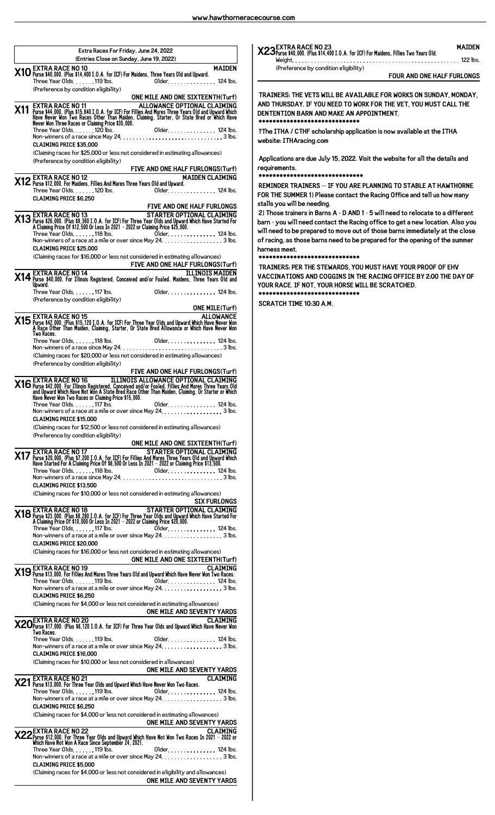| Extra Races For Friday, June 24, 2022<br>(Entries Close on Sunday, June 19, 2022)                                                                                                                                                                   | <b>X23</b> Purse \$40,000. (Plus \$14,40)      |
|-----------------------------------------------------------------------------------------------------------------------------------------------------------------------------------------------------------------------------------------------------|------------------------------------------------|
| <b>MAIDEN</b>                                                                                                                                                                                                                                       | Weight.<br>(Preference by condit               |
| X10 EXTRA RACE NO 10<br>X10 Purse \$40,000. (Plus \$14,400 I.O.A. for ICF) For Maidens, Three Years Old and Upward.                                                                                                                                 |                                                |
| Three Year Olds. 119 lbs.<br>Older. 124 lbs.<br>(Preference by condition eligibility)                                                                                                                                                               |                                                |
| ONE MILE AND ONE SIXTEENTH(Turf)                                                                                                                                                                                                                    | <b>TRAINERS: THE VETS WIL</b>                  |
|                                                                                                                                                                                                                                                     | AND THURSDAY. IF YOU N                         |
|                                                                                                                                                                                                                                                     | <b>DENTENTION BARN AND N</b>                   |
| <b>X11</b> EXTRA RACE NO 11 <b>ALLOWANCE OPTIONAL CLAIMING</b><br>Purse \$44,000. (Plus \$15,840 I.O.A. for ICF) For Fillies And Mares Three Years Old and Upward Which<br>Have Never Won Two Races Other Than Maiden, Claiming, Starter, Or Sta    | ****************                               |
|                                                                                                                                                                                                                                                     | ?The ITHA / CTHF schola                        |
| <b>CLAIMING PRICE \$35.000</b>                                                                                                                                                                                                                      | website: ITHAracing.com                        |
| (Claiming races for \$25,000 or less not considered in estimating allowances)                                                                                                                                                                       |                                                |
| (Preference by condition eligibility)                                                                                                                                                                                                               | Applications are due July                      |
| FIVE AND ONE HALF FURLONGS(Turf)                                                                                                                                                                                                                    | requirements.                                  |
| <b>MAIDEN CLAIMING</b>                                                                                                                                                                                                                              | *********************                          |
| Older 124 lbs.                                                                                                                                                                                                                                      | <b>REMINDER TRAINERS -- I</b>                  |
| <b>CLAIMING PRICE \$6.250</b>                                                                                                                                                                                                                       | <b>FOR THE SUMMER 1) Pleas</b>                 |
| FIVE AND ONE HALF FURLONGS                                                                                                                                                                                                                          | stalls you will be needing.                    |
| STARTER OPTIONAL CLAIMING<br>STARTER OPTIONAL CLAIMING<br>21 Purse \$26,000. (Plus \$9,360 I.O.A. for ICF) For Three Year Olds and Upward Which Have Started For<br>A Claiming Price Of \$12,500 Or Less In 2021 – 2022 or Claiming Price \$25,000. | 2) Those trainers in Barns                     |
|                                                                                                                                                                                                                                                     | barn - you will need conta                     |
| Older. 124 lbs.<br>Three Year Olds. 118 lbs.                                                                                                                                                                                                        | will need to be prepared t                     |
| Non-winners of a race at a mile or over since May 24. 3 lbs.                                                                                                                                                                                        | of racing, as those barns r                    |
| <b>CLAIMING PRICE \$25,000</b><br>(Claiming races for \$16,000 or less not considered in estimating allowances)                                                                                                                                     | harness meet.<br>*********************         |
| FIVE AND ONE HALF FURLONGS(Turf)                                                                                                                                                                                                                    |                                                |
|                                                                                                                                                                                                                                                     | <b>TRAINERS: PER THE STEV</b>                  |
| X14 EXTRA RACE NO 14<br>X14 Purse \$40,000. For Illinois Registered, Conceived and/or Foaled. Maidens, Three Years Old and                                                                                                                          | <b>VACCINATIONS AND COG</b>                    |
| Upward.<br>Three Year Olds. 117 lbs.<br>Older. 124 lbs.                                                                                                                                                                                             | YOUR RACE. IF NOT, YOU<br>******************** |
| (Preference by condition eligibility)                                                                                                                                                                                                               |                                                |
| <b>ONE MILE(Turf)</b>                                                                                                                                                                                                                               | <b>SCRATCH TIME 10:30 A.M</b>                  |
|                                                                                                                                                                                                                                                     |                                                |
| ALLOWANCE <b>X15</b> EXTRA RACE NO 15<br>Allowse \$42,000. (Plus \$15,120 I.O.A. for ICF) For Three Year Olds and Upward Which Have Never Won A Race Other Than Maiden, Claiming, Starter, Or State Bred Allowance or Which Have Never W            |                                                |
| Two Races.                                                                                                                                                                                                                                          |                                                |
| Three Year Olds. 118 lbs.<br>01der 124 lbs.                                                                                                                                                                                                         |                                                |
| (Claiming races for \$20,000 or less not considered in estimating allowances)                                                                                                                                                                       |                                                |
| (Preference by condition eligibility)                                                                                                                                                                                                               |                                                |
| FIVE AND ONE HALF FURLONGS(Turf)                                                                                                                                                                                                                    |                                                |
| <b>X16</b> EXTRA RACE NO 16 <b>ILLINOIS ALLOWANCE OPTIONAL CLAIMING</b><br>Marse \$42,000. For Illinois Registered, Conceived and/or Foaled. Fillies And Mares Three Years Old and Upward Minich Have Not Won A State Bred Race Other Than M        |                                                |
|                                                                                                                                                                                                                                                     |                                                |
| Have Never Won Two Races or Claiming Price \$15,000.                                                                                                                                                                                                |                                                |
| Three Year Olds. $\dots$ . $\ldots$ 117 lbs.<br>01 der. 124 lbs.<br>Non-winners of a race at a mile or over since May 24. 3 lbs.                                                                                                                    |                                                |
| <b>CLAIMING PRICE \$15,000</b>                                                                                                                                                                                                                      |                                                |
| (Claiming races for \$12,500 or less not considered in estimating allowances)                                                                                                                                                                       |                                                |
| (Preference by condition eligibility)                                                                                                                                                                                                               |                                                |
| ONE MILE AND ONE SIXTEENTH(Turf)                                                                                                                                                                                                                    |                                                |
| STARTER OPTIONAL CLAIMING<br>X17 EXTRA RACE NO. 17                                                                                                                                                                                                  |                                                |
| Purse \$20,000. (Plus \$7,200 I.O.A. for ICF) For Fillies And Mares Three Years Old and Upward Which<br>Have Started For A Claiming Price Of \$6,500 Or Less In 2021 - 2022 or Claiming Price \$13,500.                                             |                                                |
| Three Year Olds. $\dots$ . 118 lbs.<br>Older. 124 lbs.                                                                                                                                                                                              |                                                |
| <b>CLAIMING PRICE \$13,500</b>                                                                                                                                                                                                                      |                                                |
| (Claiming races for \$10,000 or less not considered in estimating allowances)                                                                                                                                                                       |                                                |
| <b>SIX FURLONGS</b>                                                                                                                                                                                                                                 |                                                |
| <b>STARTER OPTIONAL CLAIMING</b>                                                                                                                                                                                                                    |                                                |
| STARTER OPTIONAL CLAIMING<br>21 Purse \$23,000. (Plus \$8,280 I.O.A. for ICF) For Three Year Olds and Upward Which Have Started For<br>A Claiming Price Of \$10,000 Or Less In 2021 – 2022 or Claiming Price \$20,000.                              |                                                |
| Older. 124 lbs.<br>Three Year Olds. $\dots$ . 117 lbs.                                                                                                                                                                                              |                                                |
| Non-winners of a race at a mile or over since May 24, $\ldots$ , $\ldots$ , $\ldots$ , $\ldots$ , $\ldots$ , 3 lbs.                                                                                                                                 |                                                |
| <b>CLAIMING PRICE \$20,000</b>                                                                                                                                                                                                                      |                                                |
| (Claiming races for \$16,000 or less not considered in estimating allowances)                                                                                                                                                                       |                                                |
| ONE MILE AND ONE SIXTEENTH(Turf)                                                                                                                                                                                                                    |                                                |
| <b>X19</b> EXTRA RACE NO 19<br><b>X19</b> Purse \$13,000. For Fillies And Mares Three Years Old and Upward Which Have Never Won Two Races.<br><b>CLAIMING</b>                                                                                       |                                                |
| Three Year Olds119 lbs.<br>01 der. 124 lbs.                                                                                                                                                                                                         |                                                |
|                                                                                                                                                                                                                                                     |                                                |
|                                                                                                                                                                                                                                                     |                                                |
| <b>CLAIMING PRICE \$6,250</b>                                                                                                                                                                                                                       |                                                |
| (Claiming races for \$4,000 or less not considered in estimating allowances)                                                                                                                                                                        |                                                |
| ONE MILE AND SEVENTY YARDS                                                                                                                                                                                                                          |                                                |
|                                                                                                                                                                                                                                                     |                                                |
| CLAIMING X20 EXTRA RACE NO 20<br>X20 Purse \$17,000. (Plus \$6,120 I.O.A. for ICF) For Three Year Olds and Upward Which Have Never Won<br>Two Races.                                                                                                |                                                |
| Older. 124 lbs.<br>Three Year Olds. $\ldots$ . 119 lbs.                                                                                                                                                                                             |                                                |
| <b>CLAIMING PRICE \$16,000</b>                                                                                                                                                                                                                      |                                                |
| (Claiming races for \$10,000 or less not considered in allowances)                                                                                                                                                                                  |                                                |
| ONE MILE AND SEVENTY YARDS                                                                                                                                                                                                                          |                                                |
| <b>CLAIMING</b>                                                                                                                                                                                                                                     |                                                |
| X21 EXTRA RACE NO 21<br>X21 Purse \$13,000. For Three Year Olds and Upward Which Have Never Won Two Races.                                                                                                                                          |                                                |
| Three Year Olds. $\ldots$ . 119 lbs.<br>01 der. 124 lbs.<br>Non-winners of a race at a mile or over since May 24. 3 lbs.                                                                                                                            |                                                |
| <b>CLAIMING PRICE \$6.250</b>                                                                                                                                                                                                                       |                                                |
| (Claiming races for \$4,000 or less not considered in estimating allowances)                                                                                                                                                                        |                                                |
| ONE MILE AND SEVENTY YARDS                                                                                                                                                                                                                          |                                                |
|                                                                                                                                                                                                                                                     |                                                |
|                                                                                                                                                                                                                                                     |                                                |
| CLAIMING<br>2022 Purse \$12,000. For Three Year Olds and Upward Which Have Not Won Two Races In 2021 - 2022 or<br>Which Have Not Won A Race Since September 24, 2021.<br>Three Year Olds. 119 lbs.<br>Older. 124 lbs.                               |                                                |
| Non-winners of a race at a mile or over since May 24. 3 lbs.                                                                                                                                                                                        |                                                |
| <b>CLAIMING PRICE \$5,000</b>                                                                                                                                                                                                                       |                                                |
| (Claiming races for \$4,000 or less not considered in eligibility and allowances)<br>ONE MILE AND SEVENTY YARDS                                                                                                                                     |                                                |

## **X23EXTRA RACE NO 23 MAIDEN 

 #**

 $\ldots \ldots \ldots \ldots \ldots \ldots \ldots$  122 lbs. (Preference by condition eligibility)

**FOUR AND ONE HALF FURLONGS**

**TRAINERS: THE VETS WILL BE AVAILABLE FOR WORKS ON SUNDAY, MONDAY, AND THURSDAY. IF YOU NEED TO WORK FOR THE VET, YOU MUST CALL THE D MAKE AN APPOINTMENT. \*\*\*\*\*\*\*\*\*\*\*\*\*\*\*\*\*\*\*\*\*\*\*\*\*\*\*\*\***

**?The ITHA / CTHF scholarship application is now available at the ITHA website: ITHAracing.com**

**Applications are due July 15, 2022. Visit the website for all the details and**

#### **\*\*\*\*\*\*\*\*\*\*\*\*\*\*\*\*\*\*\*\*\*\*\*\*\*\*\*\*\*\***

-- IF YOU ARE PLANNING TO STABLE AT HAWTHORNE **FOR THE SUMMER 1) Please contact the Racing Office and tell us how many**

**2) Those trainers in Barns A - D AND 1 - 5 will need to relocate to a different barn - you will need contact the Racing office to get a new location. Also you where out of those barns immediately at the close of racing, as those barns need to be prepared for the opening of the summer**

#### **\*\*\*\*\*\*\*\*\*\*\*\*\*\*\*\*\*\*\*\*\*\*\*\*\*\*\*\*\***

**TEWARDS, YOU MUST HAVE YOUR PROOF OF EHV** OGGINS IN THE RACING OFFICE BY 2:00 THE DAY OF **YOUR HORSE WILL BE SCRATCHED. \*\*\*\*\*\*\*\*\*\*\*\*\*\*\*\*\*\*\*\*\*\*\*\*\*\*\*\*\***

**A.M.**